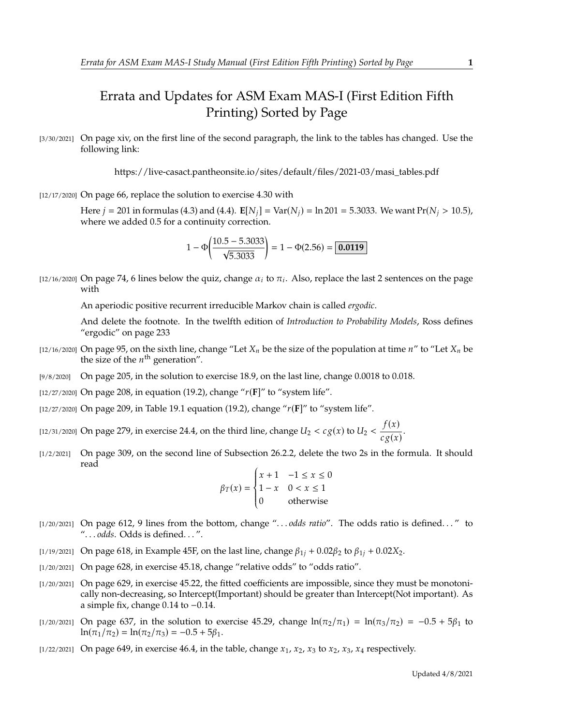## Errata and Updates for ASM Exam MAS-I (First Edition Fifth Printing) Sorted by Page

[3/30/2021] On page xiv, on the first line of the second paragraph, the link to the tables has changed. Use the following link:

https://live-casact.pantheonsite.io/sites/default/files/2021-03/masi\_tables.pdf

[12/17/2020] On page 66, replace the solution to exercise 4.30 with

Here  $j = 201$  in formulas (4.3) and (4.4).  $E[N_i] = Var(N_i) = ln 201 = 5.3033$ . We want  $Pr(N_i > 10.5)$ , where we added 0.5 for a continuity correction.

$$
1 - \Phi\left(\frac{10.5 - 5.3033}{\sqrt{5.3033}}\right) = 1 - \Phi(2.56) = \boxed{0.0119}
$$

[12/16/2020] On page 74, 6 lines below the quiz, change  $\alpha_i$  to  $\pi_i$ . Also, replace the last 2 sentences on the page with

An aperiodic positive recurrent irreducible Markov chain is called *ergodic*.

And delete the footnote. In the twelfth edition of *Introduction to Probability Models*, Ross defines "ergodic" on page 233

- [12/16/2020] On page 95, on the sixth line, change "Let  $X_n$  be the size of the population at time  $n''$  to "Let  $X_n$  be the size of the  $n^{\text{th}}$  generation".
- [9/8/2020] On page 205, in the solution to exercise 18.9, on the last line, change 0.0018 to 0.018.
- [12/27/2020] On page 208, in equation (19.2), change " $r(F)$ " to "system life".
- [12/27/2020] On page 209, in Table 19.1 equation (19.2), change " $r(F)$ " to "system life".
- [12/31/2020] On page 279, in exercise 24.4, on the third line, change  $U_2 < c g(x)$  to  $U_2 < \frac{f(x)}{c g(x)}$  $\frac{f(x)}{c g(x)}$ .
- [1/2/2021] On page 309, on the second line of Subsection 26.2.2, delete the two 2s in the formula. It should read

$$
\beta_T(x) = \begin{cases} x+1 & -1 \le x \le 0 \\ 1-x & 0 < x \le 1 \\ 0 & \text{otherwise} \end{cases}
$$

- [1/20/2021] On page 612, 9 lines from the bottom, change ". . . *odds ratio*". The odds ratio is defined. . . " to ". . . *odds*. Odds is defined. . . ".
- [1/19/2021] On page 618, in Example 45F, on the last line, change  $\beta_{1i} + 0.02\beta_2$  to  $\beta_{1i} + 0.02X_2$ .
- [1/20/2021] On page 628, in exercise 45.18, change "relative odds" to "odds ratio".
- [1/20/2021] On page 629, in exercise 45.22, the fitted coefficients are impossible, since they must be monotonically non-decreasing, so Intercept(Important) should be greater than Intercept(Not important). As a simple fix, change <sup>0</sup>.<sup>14</sup> to <sup>−</sup>0.14.
- [1/20/2021] On page 637, in the solution to exercise 45.29, change  $ln(\pi_2/\pi_1) = ln(\pi_3/\pi_2) = -0.5 + 5\beta_1$  to  $ln(\pi_1/\pi_2) = ln(\pi_2/\pi_3) = -0.5 + 5\beta_1.$
- [1/22/2021] On page 649, in exercise 46.4, in the table, change  $x_1$ ,  $x_2$ ,  $x_3$  to  $x_2$ ,  $x_3$ ,  $x_4$  respectively.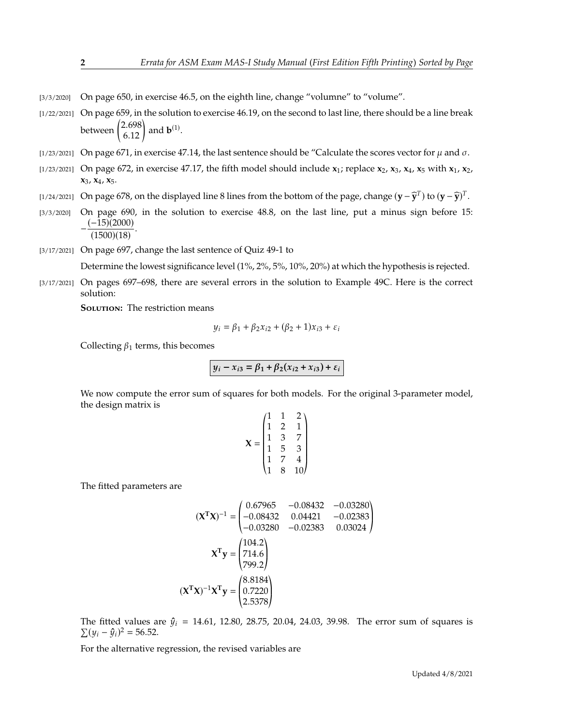- $[3/3/2020]$  On page 650, in exercise 46.5, on the eighth line, change "volumne" to "volume".
- [1/22/2021] On page 659, in the solution to exercise 46.19, on the second to last line, there should be a line break between  $\binom{2.698}{6.12}$  and **b**<sup>(1)</sup>.
- [1/23/2021] On page 671, in exercise 47.14, the last sentence should be "Calculate the scores vector for  $\mu$  and  $\sigma$ .
- [1/23/2021] On page 672, in exercise 47.17, the fifth model should include **x**1; replace **x**2, **x**3, **x**4, **x**<sup>5</sup> with **x**1, **x**2, **x**3, **x**4, **x**5.
- $[1/24/2021]$  On page 678, on the displayed line 8 lines from the bottom of the page, change  $(\mathbf{y} \widehat{\mathbf{y}}^T)$  to  $(\mathbf{y} \widehat{\mathbf{y}})^T$ .
- [3/3/2020] On page 690, in the solution to exercise 48.8, on the last line, put a minus sign before 15:  $-\frac{(-15)(2000)}{2}$  $(1500)(18)$ .
- [3/17/2021] On page 697, change the last sentence of Quiz 49-1 to

Determine the lowest significance level (1%, 2%, 5%, 10%, 20%) at which the hypothesis is rejected.

[3/17/2021] On pages 697–698, there are several errors in the solution to Example 49C. Here is the correct solution:

**SOLUTION:** The restriction means

$$
y_i = \beta_1 + \beta_2 x_{i2} + (\beta_2 + 1)x_{i3} + \varepsilon_i
$$

Collecting  $\beta_1$  terms, this becomes

$$
y_i - x_{i3} = \beta_1 + \beta_2(x_{i2} + x_{i3}) + \varepsilon_i
$$

We now compute the error sum of squares for both models. For the original 3-parameter model, the design matrix is

$$
\mathbf{X} = \begin{pmatrix} 1 & 1 & 2 \\ 1 & 2 & 1 \\ 1 & 3 & 7 \\ 1 & 5 & 3 \\ 1 & 7 & 4 \\ 1 & 8 & 10 \end{pmatrix}
$$

The fitted parameters are

$$
(\mathbf{X}^{\mathsf{T}}\mathbf{X})^{-1} = \begin{pmatrix} 0.67965 & -0.08432 & -0.03280 \\ -0.08432 & 0.04421 & -0.02383 \\ -0.03280 & -0.02383 & 0.03024 \end{pmatrix}
$$

$$
\mathbf{X}^{\mathsf{T}}\mathbf{y} = \begin{pmatrix} 104.2 \\ 714.6 \\ 799.2 \end{pmatrix}
$$

$$
(\mathbf{X}^{\mathsf{T}}\mathbf{X})^{-1}\mathbf{X}^{\mathsf{T}}\mathbf{y} = \begin{pmatrix} 8.8184 \\ 0.7220 \\ 2.5378 \end{pmatrix}
$$

« ¬ The fitted values are  $\hat{y}_i = 14.61$ , 12.80, 28.75, 20.04, 24.03, 39.98. The error sum of squares is  $\Sigma (u - \hat{u})^2 = 56.52$  $\sum (y_i - \hat{y}_i)^2 = 56.52.$ 

For the alternative regression, the revised variables are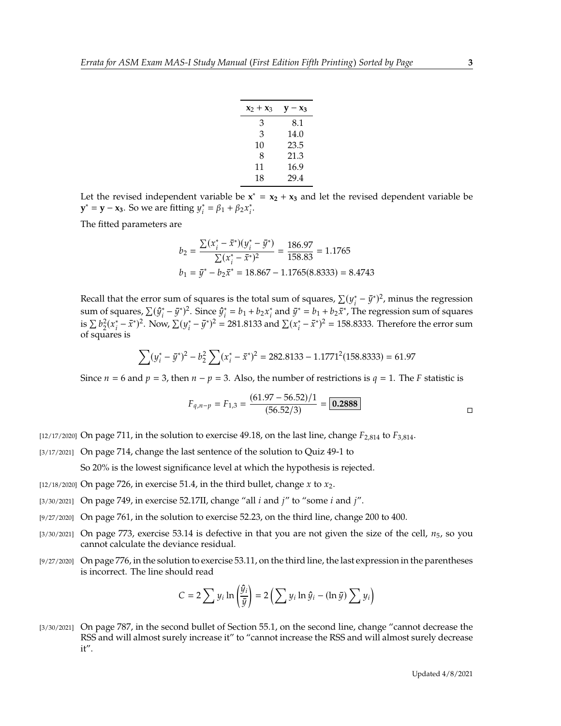| $x_2 + x_3$ | $\mathbf{v}-\mathbf{x}_3$ |
|-------------|---------------------------|
| 3           | 8.1                       |
| 3           | 14.0                      |
| 10          | 23.5                      |
| 8           | 21.3                      |
| 11          | 16.9                      |
| 18          | 29.4                      |

Let the revised independent variable be  $x^* = x_2 + x_3$  and let the revised dependent variable be **y**<sup>\*</sup> = **y** − **x**<sub>3</sub>. So we are fitting  $y_i^* = \beta_1 + \beta_2 x_i^*$ .

The fitted parameters are

$$
b_2 = \frac{\sum (x_i^* - \bar{x}^*)(y_i^* - \bar{y}^*)}{\sum (x_i^* - \bar{x}^*)^2} = \frac{186.97}{158.83} = 1.1765
$$
  

$$
b_1 = \bar{y}^* - b_2 \bar{x}^* = 18.867 - 1.1765(8.8333) = 8.4743
$$

Recall that the error sum of squares is the total sum of squares,  $\sum (y_i^* - \bar{y}^*)^2$ , minus the regression<br>sum of squares,  $\sum (\hat{y}_i^* - \bar{y}_i)^2$ ,  $\sum (\hat{y}_i^* - \hat{y}_i)^2$ ,  $\sum (\hat{y}_i^* - \hat{y}_i)^2$ ,  $\sum (\hat{y}_i^* - \hat{y}_i)^2$ sum of squares,  $\sum (\hat{y}_i^* - \bar{y}^*)^2$ . Since  $\hat{y}_i^* = b_1 + b_2 x_i^*$  and  $\bar{y}^* = b_1 + b_2 \bar{x}^*$ . The regression sum of squares is  $\sum b_2^2 (x_i^* - \bar{x}^*)^2$ . Now,  $\sum (y_i^* - \bar{y}^*)^2 = 281.8133$  and  $\sum (x_i^* - \bar{x}^*)^2 = 158.8333$ . Therefore the error sum 𝑏 𝑖 of squares is

$$
\sum (y_i^* - \bar{y}^*)^2 - b_2^2 \sum (x_i^* - \bar{x}^*)^2 = 282.8133 - 1.1771^2 (158.8333) = 61.97
$$

Since  $n = 6$  and  $p = 3$ , then  $n - p = 3$ . Also, the number of restrictions is  $q = 1$ . The F statistic is

$$
F_{q,n-p} = F_{1,3} = \frac{(61.97 - 56.52)/1}{(56.52/3)} = \boxed{0.2888}
$$

[12/17/2020] On page 711, in the solution to exercise 49.18, on the last line, change  $F_{2,814}$  to  $F_{3,814}$ .

[3/17/2021] On page 714, change the last sentence of the solution to Quiz 49-1 to

So 20% is the lowest significance level at which the hypothesis is rejected.

- [12/18/2020] On page 726, in exercise 51.4, in the third bullet, change  $x$  to  $x_2$ .
- [3/30/2021] On page 749, in exercise 52.17II, change "all  $i$  and  $j''$  to "some  $i$  and  $j''$ .
- [9/27/2020] On page 761, in the solution to exercise 52.23, on the third line, change 200 to 400.
- $[3/30/2021]$  On page 773, exercise 53.14 is defective in that you are not given the size of the cell,  $n_5$ , so you cannot calculate the deviance residual.
- [9/27/2020] On page 776, in the solution to exercise 53.11, on the third line, the last expression in the parentheses is incorrect. The line should read

 $\lambda$ 

$$
C = 2 \sum y_i \ln \left( \frac{\hat{y}_i}{\bar{y}} \right) = 2 \left( \sum y_i \ln \hat{y}_i - (\ln \bar{y}) \sum y_i \right)
$$

[3/30/2021] On page 787, in the second bullet of Section 55.1, on the second line, change "cannot decrease the RSS and will almost surely increase it" to "cannot increase the RSS and will almost surely decrease it".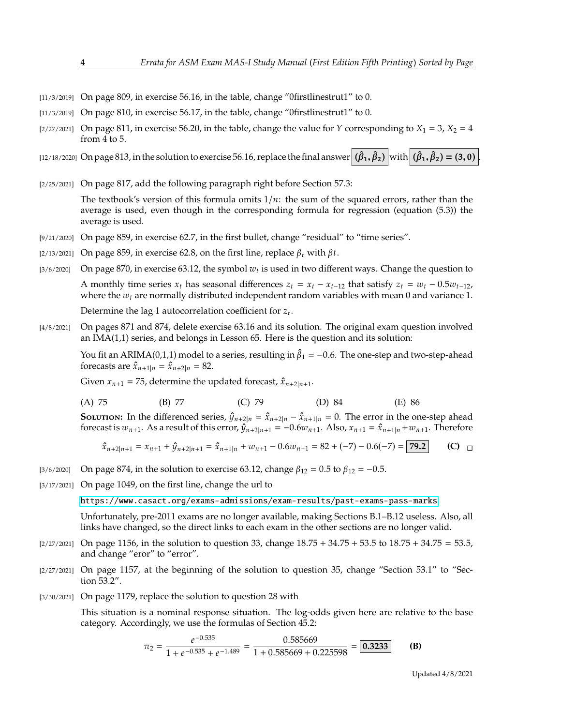- $[11/3/2019]$  On page 809, in exercise 56.16, in the table, change "0firstlinestrut1" to 0.
- [11/3/2019] On page 810, in exercise 56.17, in the table, change "0firstlinestrut1" to 0.
- $[2/27/2021]$  On page 811, in exercise 56.20, in the table, change the value for Y corresponding to  $X_1 = 3$ ,  $X_2 = 4$ from 4 to 5.

 $\left[\frac{12}{18/2020}\right]$  On page 813, in the solution to exercise 56.16, replace the final answer  $\left(\hat{\beta}_{1},\hat{\beta}_{2}\right)$  with  $\left(\hat{\beta}_{1},\hat{\beta}_{2}\right)=$  (3, 0).

[2/25/2021] On page 817, add the following paragraph right before Section 57.3:

The textbook's version of this formula omits  $1/n$ : the sum of the squared errors, rather than the average is used, even though in the corresponding formula for regression (equation (5.3)) the average is used.

- [9/21/2020] On page 859, in exercise 62.7, in the first bullet, change "residual" to "time series".
- [2/13/2021] On page 859, in exercise 62.8, on the first line, replace  $\beta_t$  with  $\beta t$ .
- [3/6/2020] On page 870, in exercise 63.12, the symbol  $w_t$  is used in two different ways. Change the question to

A monthly time series  $x_t$  has seasonal differences  $z_t = x_t - x_{t-12}$  that satisfy  $z_t = w_t - 0.5w_{t-12}$ , where the  $w_t$  are normally distributed independent random variables with mean 0 and variance 1.

Determine the lag 1 autocorrelation coefficient for  $z_t$ .

[4/8/2021] On pages 871 and 874, delete exercise 63.16 and its solution. The original exam question involved an IMA(1,1) series, and belongs in Lesson 65. Here is the question and its solution:

You fit an ARIMA(0,1,1) model to a series, resulting in  $\hat{\beta}_1 = -0.6$ . The one-step and two-step-ahead forecasts are  $\hat{x}$ ,  $y_1 = \hat{x}$ ,  $y_2 = 82$ forecasts are  $\hat{x}_{n+1|n} = \hat{x}_{n+2|n} = 82$ .

Given  $x_{n+1} = 75$ , determine the updated forecast,  $\hat{x}_{n+2|n+1}$ .

(A) 75 (B) 77 (C) 79 (D) 84 (E) 86

**SOLUTION:** In the differenced series,  $\hat{y}_{n+2|n} = \hat{x}_{n+2|n} - \hat{x}_{n+1|n} = 0$ . The error in the one-step ahead forecast is  $w_{n+1}$ . As a result of this error,  $\hat{y}_{n+2|n+1} = -0.6w_{n+1}$ . Also,  $x_{n+1} = \hat{x}_{n+1|n} + w_{n+1}$ . Therefore

$$
\hat{x}_{n+2|n+1} = x_{n+1} + \hat{y}_{n+2|n+1} = \hat{x}_{n+1|n} + w_{n+1} - 0.6w_{n+1} = 82 + (-7) - 0.6(-7) = 79.2
$$
 (C)  $\Box$ 

[3/6/2020] On page 874, in the solution to exercise 63.12, change  $\beta_{12} = 0.5$  to  $\beta_{12} = -0.5$ .

 $0.525$ 

[3/17/2021] On page 1049, on the first line, change the url to

<https://www.casact.org/exams-admissions/exam-results/past-exams-pass-marks>.

Unfortunately, pre-2011 exams are no longer available, making Sections B.1–B.12 useless. Also, all links have changed, so the direct links to each exam in the other sections are no longer valid.

- $[2/27/2021]$  On page 1156, in the solution to question 33, change  $18.75 + 34.75 + 53.5$  to  $18.75 + 34.75 = 53.5$ , and change "eror" to "error".
- [2/27/2021] On page 1157, at the beginning of the solution to question 35, change "Section 53.1" to "Section 53.2".
- [3/30/2021] On page 1179, replace the solution to question 28 with

This situation is a nominal response situation. The log-odds given here are relative to the base category. Accordingly, we use the formulas of Section 45.2:

$$
\pi_2 = \frac{e^{-0.535}}{1 + e^{-0.535} + e^{-1.489}} = \frac{0.585669}{1 + 0.585669 + 0.225598} = 0.3233
$$
 (B)